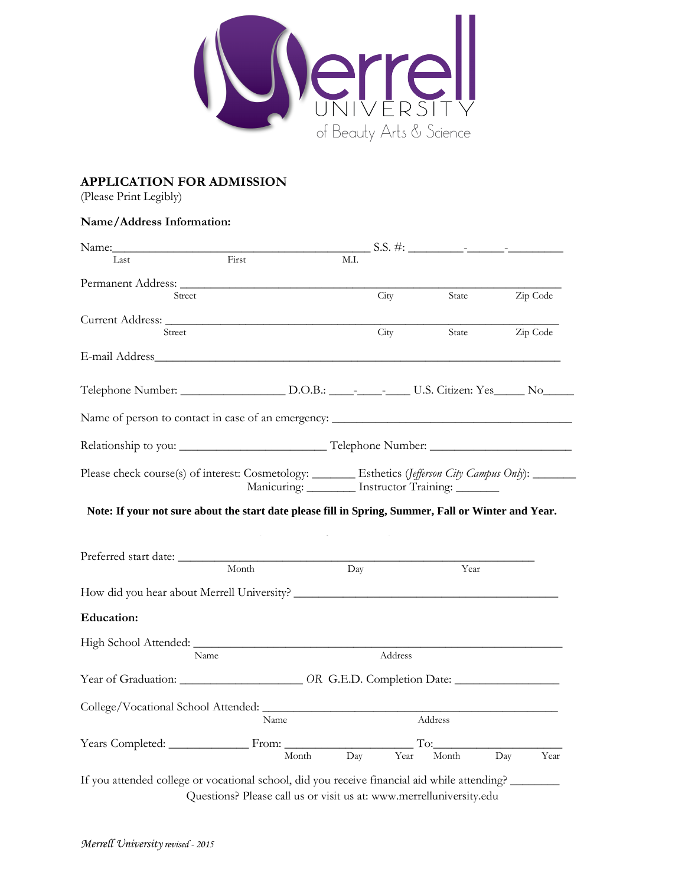

## **APPLICATION FOR ADMISSION**

(Please Print Legibly)

## **Name/Address Information:**

| Name:                                                                                                                                                                                                                                                                                            |       |     |         |                                                  |          |
|--------------------------------------------------------------------------------------------------------------------------------------------------------------------------------------------------------------------------------------------------------------------------------------------------|-------|-----|---------|--------------------------------------------------|----------|
| Last                                                                                                                                                                                                                                                                                             | First | M.L |         |                                                  |          |
|                                                                                                                                                                                                                                                                                                  |       |     |         |                                                  |          |
| Street                                                                                                                                                                                                                                                                                           |       |     | City    | State                                            | Zip Code |
|                                                                                                                                                                                                                                                                                                  |       |     |         |                                                  |          |
| Street                                                                                                                                                                                                                                                                                           |       |     | City    | State                                            | Zip Code |
| E-mail Address                                                                                                                                                                                                                                                                                   |       |     |         |                                                  |          |
|                                                                                                                                                                                                                                                                                                  |       |     |         |                                                  |          |
|                                                                                                                                                                                                                                                                                                  |       |     |         |                                                  |          |
|                                                                                                                                                                                                                                                                                                  |       |     |         |                                                  |          |
|                                                                                                                                                                                                                                                                                                  |       |     |         |                                                  |          |
|                                                                                                                                                                                                                                                                                                  |       |     |         | Manicuring: ________ Instructor Training: ______ |          |
|                                                                                                                                                                                                                                                                                                  |       |     |         |                                                  |          |
| Note: If your not sure about the start date please fill in Spring, Summer, Fall or Winter and Year.                                                                                                                                                                                              |       |     |         |                                                  |          |
|                                                                                                                                                                                                                                                                                                  |       |     |         |                                                  |          |
|                                                                                                                                                                                                                                                                                                  | Month |     |         | Year                                             |          |
|                                                                                                                                                                                                                                                                                                  |       | Day |         |                                                  |          |
|                                                                                                                                                                                                                                                                                                  |       |     |         |                                                  |          |
|                                                                                                                                                                                                                                                                                                  |       |     |         |                                                  |          |
|                                                                                                                                                                                                                                                                                                  |       |     |         |                                                  |          |
| Name                                                                                                                                                                                                                                                                                             |       |     | Address |                                                  |          |
|                                                                                                                                                                                                                                                                                                  |       |     |         |                                                  |          |
|                                                                                                                                                                                                                                                                                                  |       |     |         |                                                  |          |
|                                                                                                                                                                                                                                                                                                  | Name  |     |         | Address                                          |          |
| Please check course(s) of interest: Cosmetology: _________ Esthetics (Jefferson City Campus Only): _______<br><b>Education:</b><br>Year of Graduation: ______________________ OR G.E.D. Completion Date: ________________<br>College/Vocational School Attended:<br>Years Completed: From: From: |       |     |         | To:                                              |          |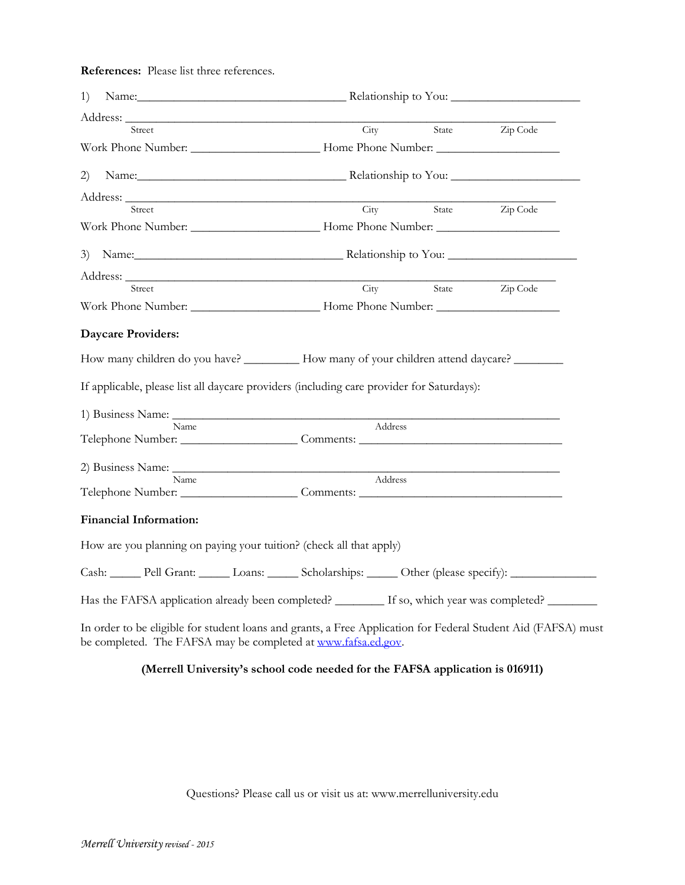**References:** Please list three references.

| 1)                                                                                                                                                                             |                                                                                                                                                                                                                                |       |                |  |
|--------------------------------------------------------------------------------------------------------------------------------------------------------------------------------|--------------------------------------------------------------------------------------------------------------------------------------------------------------------------------------------------------------------------------|-------|----------------|--|
|                                                                                                                                                                                |                                                                                                                                                                                                                                |       |                |  |
| Street                                                                                                                                                                         | City                                                                                                                                                                                                                           | State | Zip Code       |  |
|                                                                                                                                                                                |                                                                                                                                                                                                                                |       |                |  |
| 2)                                                                                                                                                                             | Name: Name: Name: Name: Name: Nelationship to You: Name: Name: Name: Name: Name: Name: Name: Name: Name: Name: Name: Name: Name: Name: Name: Name: Name: Name: Name: Name: Name: Name: Name: Name: Name: Name: Name: Name: Nam |       |                |  |
|                                                                                                                                                                                |                                                                                                                                                                                                                                |       |                |  |
| Street                                                                                                                                                                         | City                                                                                                                                                                                                                           |       | State Zip Code |  |
|                                                                                                                                                                                |                                                                                                                                                                                                                                |       |                |  |
|                                                                                                                                                                                | 3) Name: Relationship to You:                                                                                                                                                                                                  |       |                |  |
|                                                                                                                                                                                |                                                                                                                                                                                                                                |       |                |  |
| Street                                                                                                                                                                         | City                                                                                                                                                                                                                           |       | State Zip Code |  |
|                                                                                                                                                                                |                                                                                                                                                                                                                                |       |                |  |
| <b>Daycare Providers:</b>                                                                                                                                                      |                                                                                                                                                                                                                                |       |                |  |
| How many children do you have? __________ How many of your children attend daycare? ________                                                                                   |                                                                                                                                                                                                                                |       |                |  |
| If applicable, please list all daycare providers (including care provider for Saturdays):                                                                                      |                                                                                                                                                                                                                                |       |                |  |
|                                                                                                                                                                                |                                                                                                                                                                                                                                |       |                |  |
| <b>Name</b>                                                                                                                                                                    | Address                                                                                                                                                                                                                        |       |                |  |
|                                                                                                                                                                                |                                                                                                                                                                                                                                |       |                |  |
|                                                                                                                                                                                |                                                                                                                                                                                                                                |       |                |  |
| Name<br>Telephone Number: Comments:                                                                                                                                            | Address                                                                                                                                                                                                                        |       |                |  |
|                                                                                                                                                                                |                                                                                                                                                                                                                                |       |                |  |
| <b>Financial Information:</b>                                                                                                                                                  |                                                                                                                                                                                                                                |       |                |  |
| How are you planning on paying your tuition? (check all that apply)                                                                                                            |                                                                                                                                                                                                                                |       |                |  |
| Cash: Pell Grant: Loans: _______ Scholarships: ______ Other (please specify): _____________________                                                                            |                                                                                                                                                                                                                                |       |                |  |
| Has the FAFSA application already been completed? ________ If so, which year was completed? _______                                                                            |                                                                                                                                                                                                                                |       |                |  |
| In order to be eligible for student loans and grants, a Free Application for Federal Student Aid (FAFSA) must<br>be completed. The FAFSA may be completed at www.fafsa.ed.gov. |                                                                                                                                                                                                                                |       |                |  |

## **(Merrell University's school code needed for the FAFSA application is 016911)**

Questions? Please call us or visit us at: [www.merrelluniversity.edu](http://www.merrelluniversity.edu/)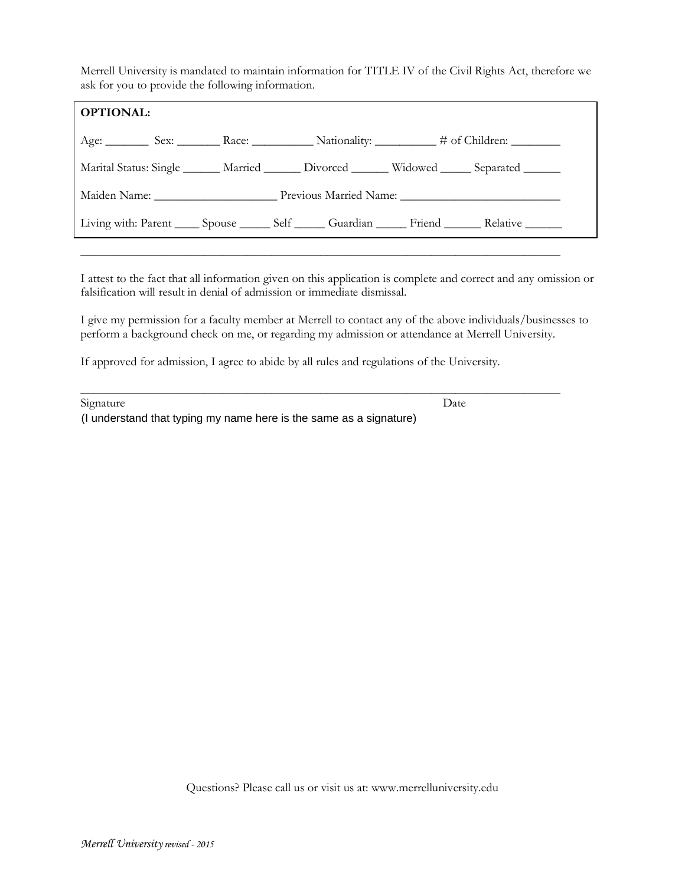Merrell University is mandated to maintain information for TITLE IV of the Civil Rights Act, therefore we ask for you to provide the following information.

| <b>OPTIONAL:</b>                                                                                         |  |  |
|----------------------------------------------------------------------------------------------------------|--|--|
|                                                                                                          |  |  |
| Marital Status: Single ______ Married ______ Divorced ______ Widowed _____ Separated ______              |  |  |
|                                                                                                          |  |  |
| Living with: Parent ______ Spouse _______ Self _______ Guardian _______ Friend ________ Relative _______ |  |  |

I attest to the fact that all information given on this application is complete and correct and any omission or falsification will result in denial of admission or immediate dismissal.

\_\_\_\_\_\_\_\_\_\_\_\_\_\_\_\_\_\_\_\_\_\_\_\_\_\_\_\_\_\_\_\_\_\_\_\_\_\_\_\_\_\_\_\_\_\_\_\_\_\_\_\_\_\_\_\_\_\_\_\_\_\_\_\_\_\_\_\_\_\_\_\_\_\_\_\_\_\_

I give my permission for a faculty member at Merrell to contact any of the above individuals/businesses to perform a background check on me, or regarding my admission or attendance at Merrell University.

If approved for admission, I agree to abide by all rules and regulations of the University.

| Signature                                                          | 1) ate |
|--------------------------------------------------------------------|--------|
| (I understand that typing my name here is the same as a signature) |        |

Questions? Please call us or visit us at: [www.merrelluniversity.edu](http://www.merrelluniversity.edu/)